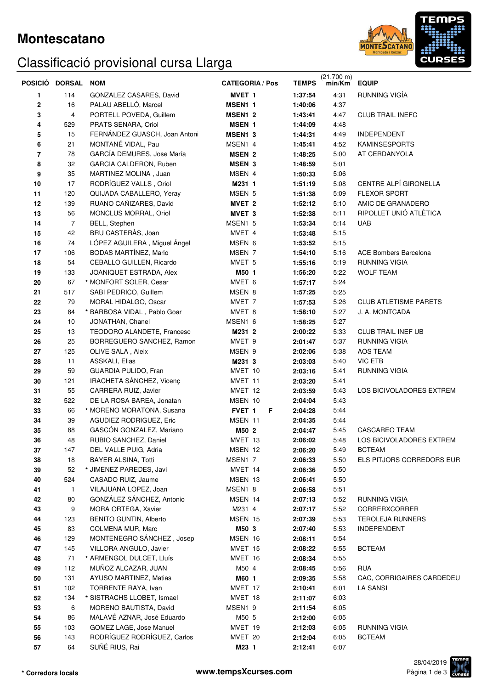### **Montescatano**

# Classificació provisional cursa Llarga



|          | POSICIÓ DORSAL | <b>NOM</b>                                        | <b>CATEGORIA / Pos</b> | <b>TEMPS</b>       | (21.700 m)<br>min/Km | <b>EQUIP</b>                 |
|----------|----------------|---------------------------------------------------|------------------------|--------------------|----------------------|------------------------------|
| 1        | 114            | GONZALEZ CASARES, David                           | MVET <sub>1</sub>      | 1:37:54            | 4:31                 | RUNNING VIGÍA                |
| $\bf{2}$ | 16             | PALAU ABELLÓ, Marcel                              | MSEN1 1                | 1:40:06            | 4:37                 |                              |
| 3        | 4              | PORTELL POVEDA, Guillem                           | MSEN1 <sub>2</sub>     | 1:43:41            | 4:47                 | <b>CLUB TRAIL INEFC</b>      |
| 4        | 529            | PRATS SENARA, Oriol                               | <b>MSEN 1</b>          | 1:44:09            | 4:48                 |                              |
| 5        | 15             | FERNÁNDEZ GUASCH, Joan Antoni                     | MSEN1 3                | 1:44:31            | 4:49                 | <b>INDEPENDENT</b>           |
| 6        | 21             | MONTANÉ VIDAL, Pau                                | MSEN1 4                | 1:45:41            | 4:52                 | <b>KAMINSESPORTS</b>         |
| 7        | 78             | GARCÍA DEMURES, Jose María                        | <b>MSEN 2</b>          | 1:48:25            | 5:00                 | AT CERDANYOLA                |
| 8        | 32             | GARCIA CALDERON, Ruben                            | <b>MSEN 3</b>          | 1:48:59            | 5:01                 |                              |
| 9        | 35             | MARTINEZ MOLINA, Juan                             | MSEN 4                 | 1:50:33            | 5:06                 |                              |
| 10       | 17             | RODRÍGUEZ VALLS, Oriol                            | M231 1                 | 1:51:19            | 5:08                 | CENTRE ALPÍ GIRONELLA        |
| 11       | 120            | QUIJADA CABALLERO, Yeray                          | MSEN 5                 | 1:51:38            | 5:09                 | <b>FLEXOR SPORT</b>          |
| 12       | 139            | RUANO CAÑIZARES, David                            | MVET <sub>2</sub>      | 1:52:12            | 5:10                 | AMIC DE GRANADERO            |
| 13       | 56             | MONCLUS MORRAL, Oriol                             | MVET <sub>3</sub>      | 1:52:38            | 5:11                 | RIPOLLET UNIÓ ATLÈTICA       |
| 14       | $\overline{7}$ | BELL, Stephen                                     | MSEN1 5                | 1:53:34            | 5:14                 | <b>UAB</b>                   |
| 15       | 42             | BRU CASTERAS, Joan                                | MVET 4                 | 1:53:48            | 5:15                 |                              |
| 16       | 74             | LÓPEZ AGUILERA, Miguel Ángel                      | MSEN 6                 | 1:53:52            | 5:15                 |                              |
| 17       | 106            | BODAS MARTÍNEZ, Mario                             | MSEN 7                 | 1:54:10            | 5:16                 | <b>ACE Bombers Barcelona</b> |
| 18       | 54             | CEBALLO GUILLEN, Ricardo                          | MVET 5                 | 1:55:16            | 5:19                 | <b>RUNNING VIGIA</b>         |
| 19       | 133            | JOANIQUET ESTRADA, Alex                           | M50 1                  | 1:56:20            | 5:22                 | <b>WOLF TEAM</b>             |
| 20       | 67             | * MONFORT SOLER, Cesar                            | MVET 6                 | 1:57:17            | 5:24                 |                              |
| 21       | 517            | SABI PEDRICO, Guillem                             | MSEN 8                 | 1:57:25            | 5:25                 |                              |
| 22       | 79             | MORAL HIDALGO, Oscar                              | MVET <sub>7</sub>      | 1:57:53            | 5:26                 | <b>CLUB ATLETISME PARETS</b> |
| 23       | 84             | * BARBOSA VIDAL, Pablo Goar                       | MVET 8                 | 1:58:10            | 5:27                 | J. A. MONTCADA               |
| 24       | 10             | JONATHAN, Chanel                                  | MSEN1 6                | 1:58:25            | 5:27                 |                              |
| 25       | 13             | TEODORO ALANDETE, Francesc                        | M231 2                 | 2:00:22            | 5:33                 | <b>CLUB TRAIL INEF UB</b>    |
| 26       | 25             | BORREGUERO SANCHEZ, Ramon                         | MVET 9                 | 2:01:47            | 5:37                 | <b>RUNNING VIGIA</b>         |
| 27       | 125            | OLIVE SALA, Aleix                                 | MSEN 9                 | 2:02:06            | 5:38                 | AOS TEAM                     |
| 28       | 11             | ASSKALI, Elias                                    | M231 3                 | 2:03:03            | 5:40                 | <b>VIC ETB</b>               |
| 29       | 59             | GUARDIA PULIDO, Fran                              | MVET 10                | 2:03:16            | 5:41                 | RUNNING VIGIA                |
| 30       | 121            | IRACHETA SÁNCHEZ, Vicenç                          | MVET 11                | 2:03:20            | 5:41                 |                              |
| 31<br>32 | 55<br>522      | CARRERA RUIZ, Javier<br>DE LA ROSA BAREA, Jonatan | MVET 12<br>MSEN 10     | 2:03:59<br>2:04:04 | 5:43<br>5:43         | LOS BICIVOLADORES EXTREM     |
| 33       | 66             | * MORENO MORATONA, Susana                         | FVET <sub>1</sub><br>F | 2:04:28            | 5:44                 |                              |
| 34       | 39             | AGUDIEZ RODRIGUEZ, Eric                           | MSEN 11                | 2:04:35            | 5:44                 |                              |
| 35       | 88             | GASCÓN GONZALEZ, Mariano                          | M50 2                  | 2:04:47            | 5:45                 | <b>CASCAREO TEAM</b>         |
| 36       | 48             | RUBIO SANCHEZ, Daniel                             | MVET 13                | 2:06:02            | 5:48                 | LOS BICIVOLADORES EXTREM     |
| 37       | 147            | DEL VALLE PUIG, Adria                             | MSEN 12                | 2:06:20            | 5:49                 | <b>BCTEAM</b>                |
| 38       | 18             | <b>BAYER ALSINA, Totti</b>                        | MSEN1 7                | 2:06:33            | 5:50                 | ELS PITJORS CORREDORS EUR    |
| 39       | 52             | * JIMENEZ PAREDES, Javi                           | MVET 14                | 2:06:36            | 5:50                 |                              |
| 40       | 524            | CASADO RUIZ, Jaume                                | MSEN 13                | 2:06:41            | 5:50                 |                              |
| 41       | $\mathbf{1}$   | VILAJUANA LOPEZ, Joan                             | MSEN1 8                | 2:06:58            | 5:51                 |                              |
| 42       | 80             | GONZÁLEZ SÁNCHEZ, Antonio                         | MSEN 14                | 2:07:13            | 5:52                 | <b>RUNNING VIGIA</b>         |
| 43       | 9              | MORA ORTEGA, Xavier                               | M231 4                 | 2:07:17            | 5:52                 | CORRERXCORRER                |
| 44       | 123            | BENITO GUNTIN, Alberto                            | MSEN 15                | 2:07:39            | 5:53                 | <b>TEROLEJA RUNNERS</b>      |
| 45       | 83             | COLMENA MUR, Marc                                 | M50 3                  | 2:07:40            | 5:53                 | <b>INDEPENDENT</b>           |
| 46       | 129            | MONTENEGRO SÁNCHEZ, Josep                         | MSEN 16                | 2:08:11            | 5:54                 |                              |
| 47       | 145            | VILLORA ANGULO, Javier                            | MVET 15                | 2:08:22            | 5:55                 | <b>BCTEAM</b>                |
| 48       | 71             | * ARMENGOL DULCET, Lluís                          | MVET 16                | 2:08:34            | 5:55                 |                              |
| 49       | 112            | MUÑOZ ALCAZAR, JUAN                               | M50 4                  | 2:08:45            | 5:56                 | <b>RUA</b>                   |
| 50       | 131            | AYUSO MARTINEZ, Matias                            | M60 1                  | 2:09:35            | 5:58                 | CAC, CORRIGAIRES CARDEDEU    |
| 51       | 102            | TORRENTE RAYA, Ivan                               | MVET 17                | 2:10:41            | 6:01                 | LA SANSI                     |
| 52       | 134            | * SISTRACHS LLOBET, Ismael                        | MVET 18                | 2:11:07            | 6:03                 |                              |
| 53       | 6              | MORENO BAUTISTA, David                            | MSEN1 9                | 2:11:54            | 6:05                 |                              |
| 54       | 86             | MALAVÉ AZNAR, José Eduardo                        | M50 5                  | 2:12:00            | 6:05                 |                              |
| 55       | 103            | GOMEZ LAGE, Jose Manuel                           | MVET 19                | 2:12:03            | 6:05                 | <b>RUNNING VIGIA</b>         |
| 56       | 143            | RODRÍGUEZ RODRÍGUEZ, Carlos                       | MVET 20                | 2:12:04            | 6:05                 | <b>BCTEAM</b>                |
| 57       | 64             | SUÑÉ RIUS, Rai                                    | M23 1                  | 2:12:41            | 6:07                 |                              |

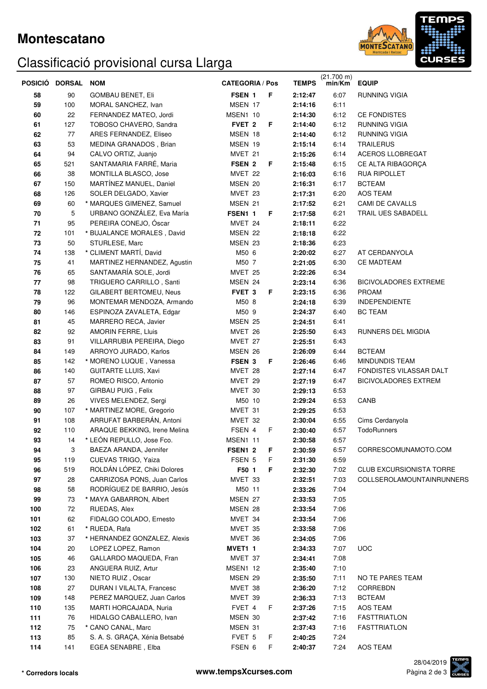### **Montescatano**

# Classificació provisional cursa Llarga



|     | POSICIÓ DORSAL NOM |                               | <b>CATEGORIA / Pos</b> |    | <b>TEMPS</b> | $(21.700 \text{ m})$<br>min/Km | <b>EQUIP</b>                    |
|-----|--------------------|-------------------------------|------------------------|----|--------------|--------------------------------|---------------------------------|
| 58  | 90                 | <b>GOMBAU BENET, Eli</b>      | FSEN 1                 | F  | 2:12:47      | 6:07                           | RUNNING VIGIA                   |
| 59  | 100                | MORAL SANCHEZ, Ivan           | MSEN 17                |    | 2:14:16      | 6:11                           |                                 |
| 60  | 22                 | FERNANDEZ MATEO, Jordi        | MSEN1 10               |    | 2:14:30      | 6:12                           | CE FONDISTES                    |
| 61  | 127                | TOBOSO CHAVERO, Sandra        | FVET <sub>2</sub>      | F  | 2:14:40      | 6:12                           | RUNNING VIGIA                   |
| 62  | 77                 | ARES FERNANDEZ, Eliseo        | MSEN 18                |    | 2:14:40      | 6:12                           | RUNNING VIGIA                   |
| 63  | 53                 | MEDINA GRANADOS, Brian        | MSEN 19                |    | 2:15:14      | 6:14                           | <b>TRAILERUS</b>                |
| 64  | 94                 | CALVO ORTIZ, Juanjo           | MVET 21                |    | 2:15:26      | 6:14                           | ACEROS LLOBREGAT                |
| 65  | 521                | SANTAMARIA FARRÉ, Maria       | FSEN 2                 | F  | 2:15:48      | 6:15                           | CE ALTA RIBAGORÇA               |
| 66  | 38                 | MONTILLA BLASCO, Jose         | MVET 22                |    | 2:16:03      | 6:16                           | RUA RIPOLLET                    |
| 67  | 150                | MARTÍNEZ MANUEL, Daniel       | MSEN 20                |    | 2:16:31      | 6:17                           | <b>BCTEAM</b>                   |
| 68  | 126                | SOLER DELGADO, Xavier         | MVET 23                |    | 2:17:31      | 6:20                           | AOS TEAM                        |
| 69  | 60                 | * MARQUES GIMENEZ, Samuel     | MSEN 21                |    | 2:17:52      | 6:21                           | CAMI DE CAVALLS                 |
| 70  | 5                  | URBANO GONZÁLEZ, Eva María    | FSEN1 1                | F  | 2:17:58      | 6:21                           | TRAIL UES SABADELL              |
| 71  | 95                 | PEREIRA CONEJO, Óscar         | MVET 24                |    | 2:18:11      | 6:22                           |                                 |
| 72  | 101                | * BUJALANCE MORALES, David    | MSEN 22                |    | 2:18:18      | 6:22                           |                                 |
| 73  | 50                 | STURLESE, Marc                | MSEN 23                |    | 2:18:36      | 6:23                           |                                 |
| 74  | 138                | * CLIMENT MARTÍ, David        | M50 6                  |    | 2:20:02      | 6:27                           | AT CERDANYOLA                   |
| 75  | 41                 | MARTINEZ HERNANDEZ, Agustin   | M50 7                  |    | 2:21:05      | 6:30                           | <b>CE MADTEAM</b>               |
| 76  | 65                 | SANTAMARÍA SOLE, Jordi        | MVET 25                |    | 2:22:26      | 6:34                           |                                 |
| 77  | 98                 | TRIGUERO CARRILLO, Santi      | MSEN 24                |    | 2:23:14      | 6:36                           | <b>BICIVOLADORES EXTREME</b>    |
| 78  | 122                | GILABERT BERTOMEU, Neus       | FVET <sub>3</sub>      | F  | 2:23:15      | 6:36                           | <b>PROAM</b>                    |
| 79  | 96                 | MONTEMAR MENDOZA, Armando     | M50 8                  |    | 2:24:18      | 6:39                           | <b>INDEPENDIENTE</b>            |
| 80  | 146                | ESPINOZA ZAVALETA, Edgar      | M50 9                  |    | 2:24:37      | 6:40                           | <b>BC TEAM</b>                  |
| 81  | 45                 | MARRERO RECA, Javier          | MSEN 25                |    | 2:24:51      | 6:41                           |                                 |
| 82  | 92                 | <b>AMORIN FERRE, Lluis</b>    | MVET 26                |    | 2:25:50      | 6:43                           | RUNNERS DEL MIGDIA              |
| 83  | 91                 | VILLARRUBIA PEREIRA, Diego    | MVET 27                |    | 2:25:51      | 6:43                           |                                 |
| 84  | 149                | ARROYO JURADO, Karlos         | MSEN 26                |    | 2:26:09      | 6:44                           | <b>BCTEAM</b>                   |
| 85  | 142                | * MORENO LUQUE, Vanessa       | FSEN 3                 | F  | 2:26:46      | 6:46                           | <b>MINDUNDIS TEAM</b>           |
| 86  | 140                | <b>GUITARTE LLUIS, Xavi</b>   | MVET 28                |    | 2:27:14      | 6:47                           | FONDISTES VILASSAR DALT         |
| 87  | 57                 | ROMEO RISCO, Antonio          | MVET 29                |    | 2:27:19      | 6:47                           | <b>BICIVOLADORES EXTREM</b>     |
| 88  | 97                 | GIRBAU PUIG, Felix            | MVET 30                |    | 2:29:13      | 6:53                           |                                 |
| 89  | 26                 | VIVES MELENDEZ, Sergi         | M50 10                 |    | 2:29:24      | 6:53                           | CANB                            |
| 90  | 107                | * MARTINEZ MORE, Gregorio     | MVET 31                |    | 2:29:25      | 6.53                           |                                 |
| 91  | 108                | ARRUFAT BARBERÁN, Antoni      | MVET 32                |    | 2:30:04      | 6:55                           | Cims Cerdanyola                 |
| 92  | 110                | ARAQUE BEKKING, Irene Melina  | FSEN 4                 | F. | 2:30:40      | 6:57                           | <b>TodoRunners</b>              |
| 93  | 14                 | * LEÓN REPULLO, Jose Fco.     | MSEN1 11               |    | 2:30:58      | 6:57                           |                                 |
| 94  | 3                  | BAEZA ARANDA, Jennifer        | FSEN1 2                | F  | 2:30:59      | 6:57                           | CORRESCOMUNAMOTO.COM            |
| 95  | 119                | CUEVAS TRIGO, Yaiza           | FSEN 5                 | F. | 2:31:30      | 6:59                           |                                 |
| 96  | 519                | ROLDÁN LÓPEZ, Chiki Dolores   | F50 1                  | F  | 2:32:30      | 7:02                           | <b>CLUB EXCURSIONISTA TORRE</b> |
| 97  | 28                 | CARRIZOSA PONS, Juan Carlos   | MVET 33                |    | 2:32:51      | 7:03                           | COLLSEROLAMOUNTAINRUNNERS       |
| 98  | 58                 | RODRÍGUEZ DE BARRIO, Jesús    | M50 11                 |    | 2:33:26      | 7:04                           |                                 |
| 99  | 73                 | * MAYA GABARRON, Albert       | MSEN 27                |    | 2:33:53      | 7:05                           |                                 |
| 100 | 72                 | RUEDAS, Alex                  | MSEN 28                |    | 2:33:54      | 7:06                           |                                 |
| 101 | 62                 | FIDALGO COLADO, Ernesto       | MVET 34                |    | 2:33:54      | 7:06                           |                                 |
| 102 | 61                 | * RUEDA, Rafa                 | MVET 35                |    | 2:33:58      | 7:06                           |                                 |
| 103 | 37                 | * HERNANDEZ GONZALEZ, Alexis  | MVET 36                |    | 2:34:05      | 7:06                           |                                 |
| 104 | 20                 | LOPEZ LOPEZ, Ramon            | MVET1 1                |    | 2:34:33      | 7:07                           | <b>UOC</b>                      |
| 105 | 46                 | GALLARDO MAQUEDA, Fran        | MVET 37                |    | 2:34:41      | 7:08                           |                                 |
| 106 | 23                 | ANGUERA RUIZ, Artur           | MSEN1 12               |    | 2:35:40      | 7:10                           |                                 |
| 107 | 130                | NIETO RUIZ, Oscar             | MSEN 29                |    | 2:35:50      | 7:11                           | NO TE PARES TEAM                |
| 108 | 27                 | DURAN I VILALTA, Francesc     | MVET 38                |    | 2:36:20      | 7:12                           | CORREBDN                        |
| 109 | 148                | PEREZ MARQUEZ, Juan Carlos    | MVET 39                |    | 2:36:33      | 7:13                           | <b>BCTEAM</b>                   |
| 110 | 135                | MARTI HORCAJADA, Nuria        | FVET 4                 | F  | 2:37:26      | 7:15                           | AOS TEAM                        |
| 111 | 76                 | HIDALGO CABALLERO, Ivan       | MSEN 30                |    | 2:37:42      | 7:16                           | <b>FASTTRIATLON</b>             |
| 112 | 75                 | * CANO CANAL, Marc            | MSEN 31                |    | 2:37:43      | 7:16                           | <b>FASTTRIATLON</b>             |
| 113 | 85                 | S. A. S. GRAÇA, Xénia Betsabé | FVET 5                 | F  | 2:40:25      | 7:24                           |                                 |
| 114 | 141                | EGEA SENABRE, Elba            | FSEN 6                 | F. | 2:40:37      | 7:24                           | AOS TEAM                        |